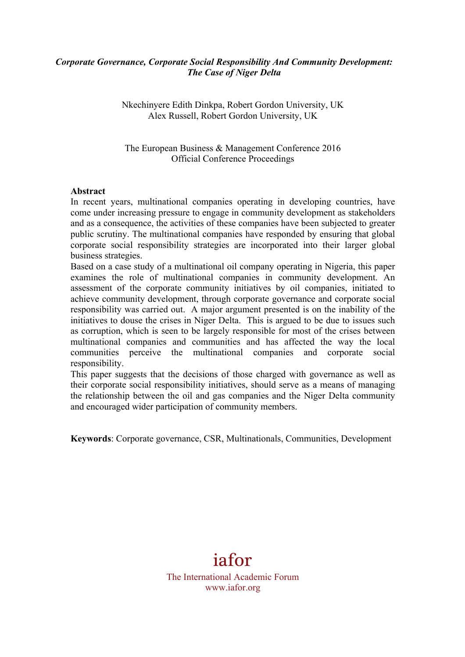# *Corporate Governance, Corporate Social Responsibility And Community Development: The Case of Niger Delta*

Nkechinyere Edith Dinkpa, Robert Gordon University, UK Alex Russell, Robert Gordon University, UK

The European Business & Management Conference 2016 Official Conference Proceedings

#### **Abstract**

In recent years, multinational companies operating in developing countries, have come under increasing pressure to engage in community development as stakeholders and as a consequence, the activities of these companies have been subjected to greater public scrutiny. The multinational companies have responded by ensuring that global corporate social responsibility strategies are incorporated into their larger global business strategies.

Based on a case study of a multinational oil company operating in Nigeria, this paper examines the role of multinational companies in community development. An assessment of the corporate community initiatives by oil companies, initiated to achieve community development, through corporate governance and corporate social responsibility was carried out. A major argument presented is on the inability of the initiatives to douse the crises in Niger Delta. This is argued to be due to issues such as corruption, which is seen to be largely responsible for most of the crises between multinational companies and communities and has affected the way the local communities perceive the multinational companies and corporate social responsibility.

This paper suggests that the decisions of those charged with governance as well as their corporate social responsibility initiatives, should serve as a means of managing the relationship between the oil and gas companies and the Niger Delta community and encouraged wider participation of community members.

**Keywords**: Corporate governance, CSR, Multinationals, Communities, Development

# iafor

The International Academic Forum www.iafor.org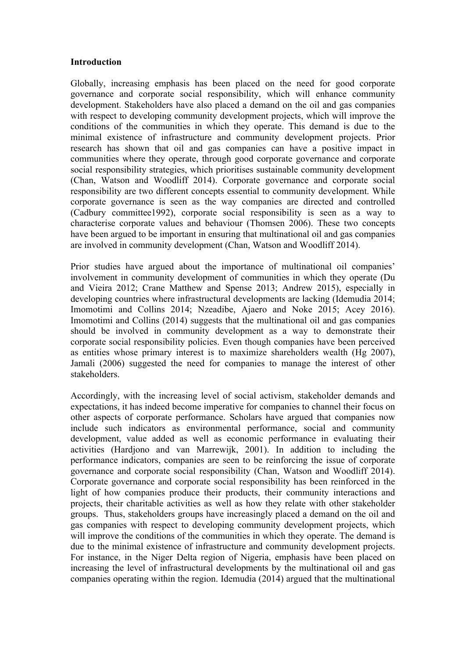#### **Introduction**

Globally, increasing emphasis has been placed on the need for good corporate governance and corporate social responsibility, which will enhance community development. Stakeholders have also placed a demand on the oil and gas companies with respect to developing community development projects, which will improve the conditions of the communities in which they operate. This demand is due to the minimal existence of infrastructure and community development projects. Prior research has shown that oil and gas companies can have a positive impact in communities where they operate, through good corporate governance and corporate social responsibility strategies, which prioritises sustainable community development (Chan, Watson and Woodliff 2014). Corporate governance and corporate social responsibility are two different concepts essential to community development. While corporate governance is seen as the way companies are directed and controlled (Cadbury committee1992), corporate social responsibility is seen as a way to characterise corporate values and behaviour (Thomsen 2006). These two concepts have been argued to be important in ensuring that multinational oil and gas companies are involved in community development (Chan, Watson and Woodliff 2014).

Prior studies have argued about the importance of multinational oil companies' involvement in community development of communities in which they operate (Du and Vieira 2012; Crane Matthew and Spense 2013; Andrew 2015), especially in developing countries where infrastructural developments are lacking (Idemudia 2014; Imomotimi and Collins 2014; Nzeadibe, Ajaero and Noke 2015; Acey 2016). Imomotimi and Collins (2014) suggests that the multinational oil and gas companies should be involved in community development as a way to demonstrate their corporate social responsibility policies. Even though companies have been perceived as entities whose primary interest is to maximize shareholders wealth (Hg 2007), Jamali (2006) suggested the need for companies to manage the interest of other stakeholders.

Accordingly, with the increasing level of social activism, stakeholder demands and expectations, it has indeed become imperative for companies to channel their focus on other aspects of corporate performance. Scholars have argued that companies now include such indicators as environmental performance, social and community development, value added as well as economic performance in evaluating their activities (Hardjono and van Marrewijk, 2001). In addition to including the performance indicators, companies are seen to be reinforcing the issue of corporate governance and corporate social responsibility (Chan, Watson and Woodliff 2014). Corporate governance and corporate social responsibility has been reinforced in the light of how companies produce their products, their community interactions and projects, their charitable activities as well as how they relate with other stakeholder groups. Thus, stakeholders groups have increasingly placed a demand on the oil and gas companies with respect to developing community development projects, which will improve the conditions of the communities in which they operate. The demand is due to the minimal existence of infrastructure and community development projects. For instance, in the Niger Delta region of Nigeria, emphasis have been placed on increasing the level of infrastructural developments by the multinational oil and gas companies operating within the region. Idemudia (2014) argued that the multinational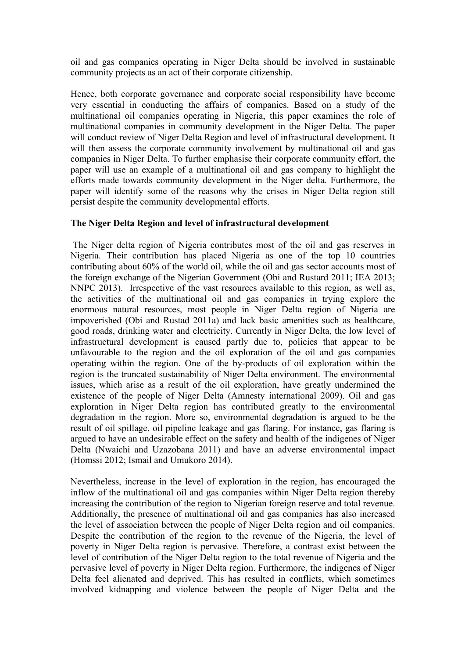oil and gas companies operating in Niger Delta should be involved in sustainable community projects as an act of their corporate citizenship.

Hence, both corporate governance and corporate social responsibility have become very essential in conducting the affairs of companies. Based on a study of the multinational oil companies operating in Nigeria, this paper examines the role of multinational companies in community development in the Niger Delta. The paper will conduct review of Niger Delta Region and level of infrastructural development. It will then assess the corporate community involvement by multinational oil and gas companies in Niger Delta. To further emphasise their corporate community effort, the paper will use an example of a multinational oil and gas company to highlight the efforts made towards community development in the Niger delta. Furthermore, the paper will identify some of the reasons why the crises in Niger Delta region still persist despite the community developmental efforts.

# **The Niger Delta Region and level of infrastructural development**

The Niger delta region of Nigeria contributes most of the oil and gas reserves in Nigeria. Their contribution has placed Nigeria as one of the top 10 countries contributing about 60% of the world oil, while the oil and gas sector accounts most of the foreign exchange of the Nigerian Government (Obi and Rustard 2011; IEA 2013; NNPC 2013). Irrespective of the vast resources available to this region, as well as, the activities of the multinational oil and gas companies in trying explore the enormous natural resources, most people in Niger Delta region of Nigeria are impoverished (Obi and Rustad 2011a) and lack basic amenities such as healthcare, good roads, drinking water and electricity. Currently in Niger Delta, the low level of infrastructural development is caused partly due to, policies that appear to be unfavourable to the region and the oil exploration of the oil and gas companies operating within the region. One of the by-products of oil exploration within the region is the truncated sustainability of Niger Delta environment. The environmental issues, which arise as a result of the oil exploration, have greatly undermined the existence of the people of Niger Delta (Amnesty international 2009). Oil and gas exploration in Niger Delta region has contributed greatly to the environmental degradation in the region. More so, environmental degradation is argued to be the result of oil spillage, oil pipeline leakage and gas flaring. For instance, gas flaring is argued to have an undesirable effect on the safety and health of the indigenes of Niger Delta (Nwaichi and Uzazobana 2011) and have an adverse environmental impact (Homssi 2012; Ismail and Umukoro 2014).

Nevertheless, increase in the level of exploration in the region, has encouraged the inflow of the multinational oil and gas companies within Niger Delta region thereby increasing the contribution of the region to Nigerian foreign reserve and total revenue. Additionally, the presence of multinational oil and gas companies has also increased the level of association between the people of Niger Delta region and oil companies. Despite the contribution of the region to the revenue of the Nigeria, the level of poverty in Niger Delta region is pervasive. Therefore, a contrast exist between the level of contribution of the Niger Delta region to the total revenue of Nigeria and the pervasive level of poverty in Niger Delta region. Furthermore, the indigenes of Niger Delta feel alienated and deprived. This has resulted in conflicts, which sometimes involved kidnapping and violence between the people of Niger Delta and the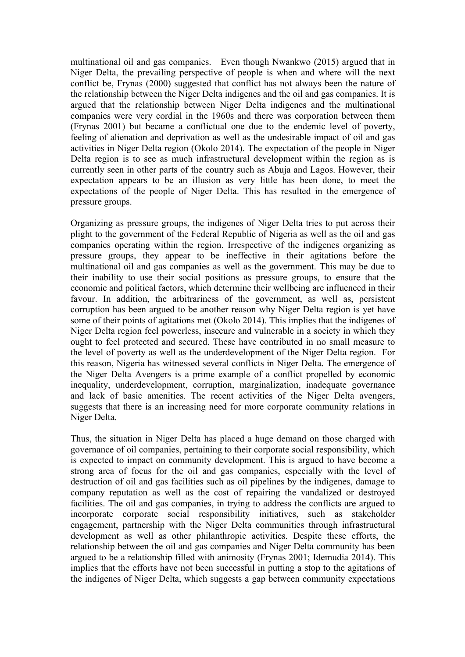multinational oil and gas companies. Even though Nwankwo (2015) argued that in Niger Delta, the prevailing perspective of people is when and where will the next conflict be, Frynas (2000) suggested that conflict has not always been the nature of the relationship between the Niger Delta indigenes and the oil and gas companies. It is argued that the relationship between Niger Delta indigenes and the multinational companies were very cordial in the 1960s and there was corporation between them (Frynas 2001) but became a conflictual one due to the endemic level of poverty, feeling of alienation and deprivation as well as the undesirable impact of oil and gas activities in Niger Delta region (Okolo 2014). The expectation of the people in Niger Delta region is to see as much infrastructural development within the region as is currently seen in other parts of the country such as Abuja and Lagos. However, their expectation appears to be an illusion as very little has been done, to meet the expectations of the people of Niger Delta. This has resulted in the emergence of pressure groups.

Organizing as pressure groups, the indigenes of Niger Delta tries to put across their plight to the government of the Federal Republic of Nigeria as well as the oil and gas companies operating within the region. Irrespective of the indigenes organizing as pressure groups, they appear to be ineffective in their agitations before the multinational oil and gas companies as well as the government. This may be due to their inability to use their social positions as pressure groups, to ensure that the economic and political factors, which determine their wellbeing are influenced in their favour. In addition, the arbitrariness of the government, as well as, persistent corruption has been argued to be another reason why Niger Delta region is yet have some of their points of agitations met (Okolo 2014). This implies that the indigenes of Niger Delta region feel powerless, insecure and vulnerable in a society in which they ought to feel protected and secured. These have contributed in no small measure to the level of poverty as well as the underdevelopment of the Niger Delta region. For this reason, Nigeria has witnessed several conflicts in Niger Delta. The emergence of the Niger Delta Avengers is a prime example of a conflict propelled by economic inequality, underdevelopment, corruption, marginalization, inadequate governance and lack of basic amenities. The recent activities of the Niger Delta avengers, suggests that there is an increasing need for more corporate community relations in Niger Delta.

Thus, the situation in Niger Delta has placed a huge demand on those charged with governance of oil companies, pertaining to their corporate social responsibility, which is expected to impact on community development. This is argued to have become a strong area of focus for the oil and gas companies, especially with the level of destruction of oil and gas facilities such as oil pipelines by the indigenes, damage to company reputation as well as the cost of repairing the vandalized or destroyed facilities. The oil and gas companies, in trying to address the conflicts are argued to incorporate corporate social responsibility initiatives, such as stakeholder engagement, partnership with the Niger Delta communities through infrastructural development as well as other philanthropic activities. Despite these efforts, the relationship between the oil and gas companies and Niger Delta community has been argued to be a relationship filled with animosity (Frynas 2001; Idemudia 2014). This implies that the efforts have not been successful in putting a stop to the agitations of the indigenes of Niger Delta, which suggests a gap between community expectations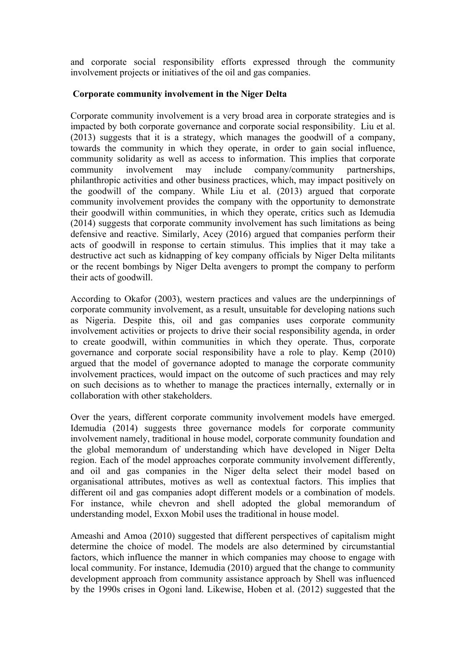and corporate social responsibility efforts expressed through the community involvement projects or initiatives of the oil and gas companies.

# **Corporate community involvement in the Niger Delta**

Corporate community involvement is a very broad area in corporate strategies and is impacted by both corporate governance and corporate social responsibility. Liu et al. (2013) suggests that it is a strategy, which manages the goodwill of a company, towards the community in which they operate, in order to gain social influence, community solidarity as well as access to information. This implies that corporate community involvement may include company/community partnerships, philanthropic activities and other business practices, which, may impact positively on the goodwill of the company. While Liu et al. (2013) argued that corporate community involvement provides the company with the opportunity to demonstrate their goodwill within communities, in which they operate, critics such as Idemudia (2014) suggests that corporate community involvement has such limitations as being defensive and reactive. Similarly, Acey (2016) argued that companies perform their acts of goodwill in response to certain stimulus. This implies that it may take a destructive act such as kidnapping of key company officials by Niger Delta militants or the recent bombings by Niger Delta avengers to prompt the company to perform their acts of goodwill.

According to Okafor (2003), western practices and values are the underpinnings of corporate community involvement, as a result, unsuitable for developing nations such as Nigeria. Despite this, oil and gas companies uses corporate community involvement activities or projects to drive their social responsibility agenda, in order to create goodwill, within communities in which they operate. Thus, corporate governance and corporate social responsibility have a role to play. Kemp (2010) argued that the model of governance adopted to manage the corporate community involvement practices, would impact on the outcome of such practices and may rely on such decisions as to whether to manage the practices internally, externally or in collaboration with other stakeholders.

Over the years, different corporate community involvement models have emerged. Idemudia (2014) suggests three governance models for corporate community involvement namely, traditional in house model, corporate community foundation and the global memorandum of understanding which have developed in Niger Delta region. Each of the model approaches corporate community involvement differently, and oil and gas companies in the Niger delta select their model based on organisational attributes, motives as well as contextual factors. This implies that different oil and gas companies adopt different models or a combination of models. For instance, while chevron and shell adopted the global memorandum of understanding model, Exxon Mobil uses the traditional in house model.

Ameashi and Amoa (2010) suggested that different perspectives of capitalism might determine the choice of model. The models are also determined by circumstantial factors, which influence the manner in which companies may choose to engage with local community. For instance, Idemudia (2010) argued that the change to community development approach from community assistance approach by Shell was influenced by the 1990s crises in Ogoni land. Likewise, Hoben et al. (2012) suggested that the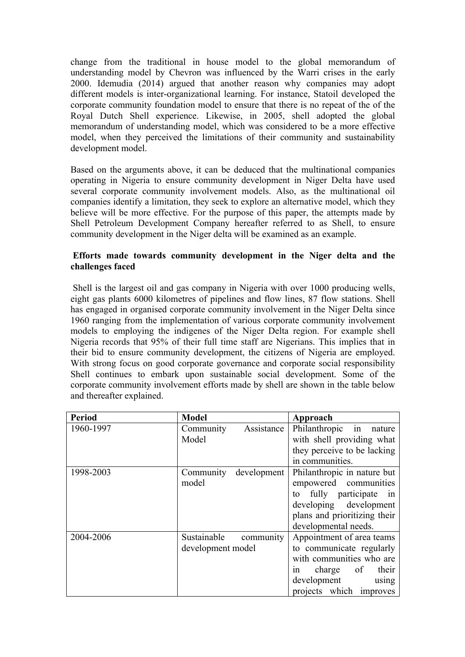change from the traditional in house model to the global memorandum of understanding model by Chevron was influenced by the Warri crises in the early 2000. Idemudia (2014) argued that another reason why companies may adopt different models is inter-organizational learning. For instance, Statoil developed the corporate community foundation model to ensure that there is no repeat of the of the Royal Dutch Shell experience. Likewise, in 2005, shell adopted the global memorandum of understanding model, which was considered to be a more effective model, when they perceived the limitations of their community and sustainability development model.

Based on the arguments above, it can be deduced that the multinational companies operating in Nigeria to ensure community development in Niger Delta have used several corporate community involvement models. Also, as the multinational oil companies identify a limitation, they seek to explore an alternative model, which they believe will be more effective. For the purpose of this paper, the attempts made by Shell Petroleum Development Company hereafter referred to as Shell, to ensure community development in the Niger delta will be examined as an example.

# **Efforts made towards community development in the Niger delta and the challenges faced**

Shell is the largest oil and gas company in Nigeria with over 1000 producing wells, eight gas plants 6000 kilometres of pipelines and flow lines, 87 flow stations. Shell has engaged in organised corporate community involvement in the Niger Delta since 1960 ranging from the implementation of various corporate community involvement models to employing the indigenes of the Niger Delta region. For example shell Nigeria records that 95% of their full time staff are Nigerians. This implies that in their bid to ensure community development, the citizens of Nigeria are employed. With strong focus on good corporate governance and corporate social responsibility Shell continues to embark upon sustainable social development. Some of the corporate community involvement efforts made by shell are shown in the table below and thereafter explained.

| <b>Period</b> | <b>Model</b>             | Approach                     |
|---------------|--------------------------|------------------------------|
| 1960-1997     | Assistance<br>Community  | Philanthropic in nature      |
|               | Model                    | with shell providing what    |
|               |                          | they perceive to be lacking  |
|               |                          | in communities.              |
| 1998-2003     | development<br>Community | Philanthropic in nature but  |
|               | model                    | empowered communities        |
|               |                          | to fully participate in      |
|               |                          | developing development       |
|               |                          | plans and prioritizing their |
|               |                          | developmental needs.         |
| 2004-2006     | Sustainable<br>community | Appointment of area teams    |
|               | development model        | to communicate regularly     |
|               |                          | with communities who are     |
|               |                          | in charge of<br>their        |
|               |                          | development<br>using         |
|               |                          | projects which improves      |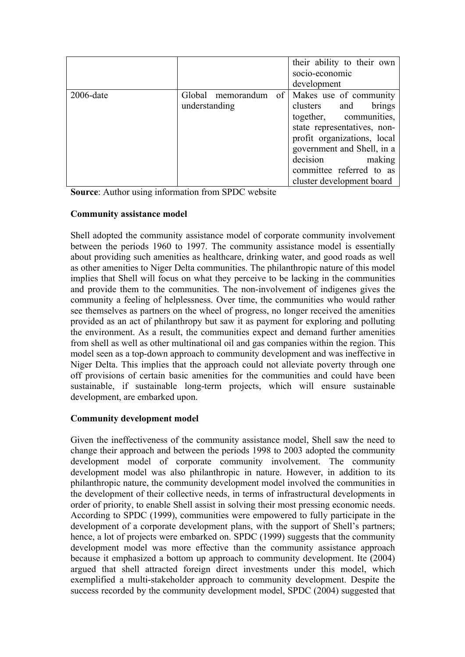|              |               | their ability to their own                  |
|--------------|---------------|---------------------------------------------|
|              |               | socio-economic                              |
|              |               | development                                 |
| $2006$ -date |               | Global memorandum of Makes use of community |
|              | understanding | clusters and<br>brings                      |
|              |               | together, communities,                      |
|              |               | state representatives, non-                 |
|              |               | profit organizations, local                 |
|              |               | government and Shell, in a                  |
|              |               | decision<br>making                          |
|              |               | committee referred to as                    |
|              |               | cluster development board                   |

**Source**: Author using information from SPDC website

# **Community assistance model**

Shell adopted the community assistance model of corporate community involvement between the periods 1960 to 1997. The community assistance model is essentially about providing such amenities as healthcare, drinking water, and good roads as well as other amenities to Niger Delta communities. The philanthropic nature of this model implies that Shell will focus on what they perceive to be lacking in the communities and provide them to the communities. The non-involvement of indigenes gives the community a feeling of helplessness. Over time, the communities who would rather see themselves as partners on the wheel of progress, no longer received the amenities provided as an act of philanthropy but saw it as payment for exploring and polluting the environment. As a result, the communities expect and demand further amenities from shell as well as other multinational oil and gas companies within the region. This model seen as a top-down approach to community development and was ineffective in Niger Delta. This implies that the approach could not alleviate poverty through one off provisions of certain basic amenities for the communities and could have been sustainable, if sustainable long-term projects, which will ensure sustainable development, are embarked upon.

# **Community development model**

Given the ineffectiveness of the community assistance model, Shell saw the need to change their approach and between the periods 1998 to 2003 adopted the community development model of corporate community involvement. The community development model was also philanthropic in nature. However, in addition to its philanthropic nature, the community development model involved the communities in the development of their collective needs, in terms of infrastructural developments in order of priority, to enable Shell assist in solving their most pressing economic needs. According to SPDC (1999), communities were empowered to fully participate in the development of a corporate development plans, with the support of Shell's partners; hence, a lot of projects were embarked on. SPDC (1999) suggests that the community development model was more effective than the community assistance approach because it emphasized a bottom up approach to community development. Ite (2004) argued that shell attracted foreign direct investments under this model, which exemplified a multi-stakeholder approach to community development. Despite the success recorded by the community development model, SPDC (2004) suggested that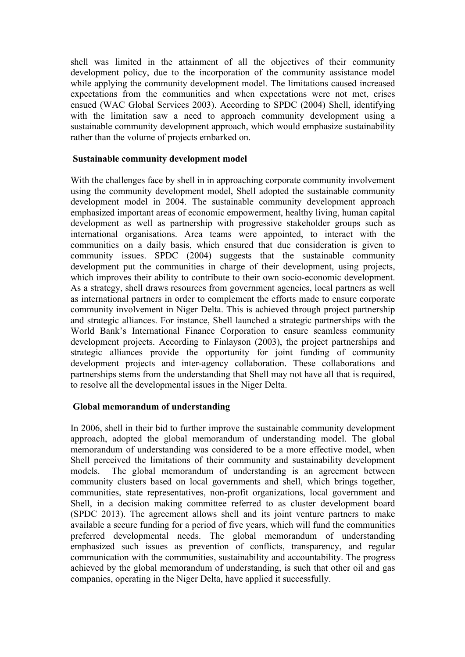shell was limited in the attainment of all the objectives of their community development policy, due to the incorporation of the community assistance model while applying the community development model. The limitations caused increased expectations from the communities and when expectations were not met, crises ensued (WAC Global Services 2003). According to SPDC (2004) Shell, identifying with the limitation saw a need to approach community development using a sustainable community development approach, which would emphasize sustainability rather than the volume of projects embarked on.

## **Sustainable community development model**

With the challenges face by shell in in approaching corporate community involvement using the community development model, Shell adopted the sustainable community development model in 2004. The sustainable community development approach emphasized important areas of economic empowerment, healthy living, human capital development as well as partnership with progressive stakeholder groups such as international organisations. Area teams were appointed, to interact with the communities on a daily basis, which ensured that due consideration is given to community issues. SPDC (2004) suggests that the sustainable community development put the communities in charge of their development, using projects, which improves their ability to contribute to their own socio-economic development. As a strategy, shell draws resources from government agencies, local partners as well as international partners in order to complement the efforts made to ensure corporate community involvement in Niger Delta. This is achieved through project partnership and strategic alliances. For instance, Shell launched a strategic partnerships with the World Bank's International Finance Corporation to ensure seamless community development projects. According to Finlayson (2003), the project partnerships and strategic alliances provide the opportunity for joint funding of community development projects and inter-agency collaboration. These collaborations and partnerships stems from the understanding that Shell may not have all that is required, to resolve all the developmental issues in the Niger Delta.

# **Global memorandum of understanding**

In 2006, shell in their bid to further improve the sustainable community development approach, adopted the global memorandum of understanding model. The global memorandum of understanding was considered to be a more effective model, when Shell perceived the limitations of their community and sustainability development models. The global memorandum of understanding is an agreement between community clusters based on local governments and shell, which brings together, communities, state representatives, non-profit organizations, local government and Shell, in a decision making committee referred to as cluster development board (SPDC 2013). The agreement allows shell and its joint venture partners to make available a secure funding for a period of five years, which will fund the communities preferred developmental needs. The global memorandum of understanding emphasized such issues as prevention of conflicts, transparency, and regular communication with the communities, sustainability and accountability. The progress achieved by the global memorandum of understanding, is such that other oil and gas companies, operating in the Niger Delta, have applied it successfully.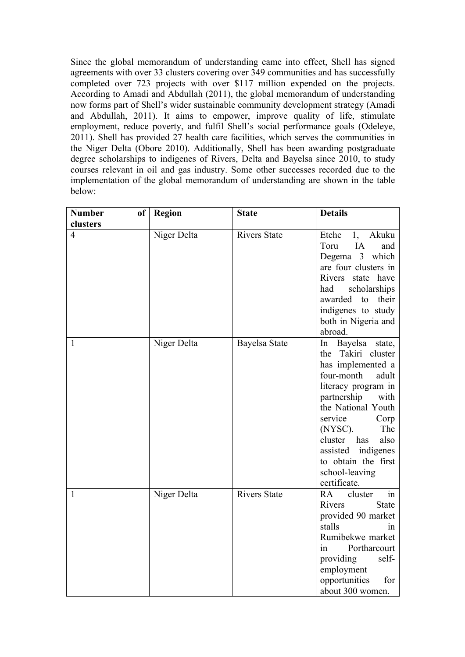Since the global memorandum of understanding came into effect, Shell has signed agreements with over 33 clusters covering over 349 communities and has successfully completed over 723 projects with over \$117 million expended on the projects. According to Amadi and Abdullah (2011), the global memorandum of understanding now forms part of Shell's wider sustainable community development strategy (Amadi and Abdullah, 2011). It aims to empower, improve quality of life, stimulate employment, reduce poverty, and fulfil Shell's social performance goals (Odeleye, 2011). Shell has provided 27 health care facilities, which serves the communities in the Niger Delta (Obore 2010). Additionally, Shell has been awarding postgraduate degree scholarships to indigenes of Rivers, Delta and Bayelsa since 2010, to study courses relevant in oil and gas industry. Some other successes recorded due to the implementation of the global memorandum of understanding are shown in the table below:

| <b>Number</b>  | of <sub>1</sub> | <b>Region</b> | <b>State</b>        | <b>Details</b>                                                                                                                                                                                                                                                                                                 |
|----------------|-----------------|---------------|---------------------|----------------------------------------------------------------------------------------------------------------------------------------------------------------------------------------------------------------------------------------------------------------------------------------------------------------|
| clusters       |                 |               |                     |                                                                                                                                                                                                                                                                                                                |
| $\overline{4}$ |                 | Niger Delta   | <b>Rivers State</b> | Etche<br>1,<br>Akuku<br>Toru<br>IA<br>and<br>Degema 3 which<br>are four clusters in<br>Rivers state have<br>scholarships<br>had<br>awarded to their<br>indigenes to study<br>both in Nigeria and<br>abroad.                                                                                                    |
| 1              |                 | Niger Delta   | Bayelsa State       | In<br>Bayelsa<br>state,<br>Takiri cluster<br>the<br>has implemented a<br>four-month<br>adult<br>literacy program in<br>partnership<br>with<br>the National Youth<br>service<br>Corp<br>$(NYSC)$ .<br>The<br>cluster has<br>also<br>assisted indigenes<br>to obtain the first<br>school-leaving<br>certificate. |
| 1              |                 | Niger Delta   | <b>Rivers State</b> | in<br>RA<br>cluster<br>Rivers<br><b>State</b><br>provided 90 market<br>stalls<br>1n<br>Rumibekwe market<br>Portharcourt<br>in<br>providing<br>self-<br>employment<br>opportunities<br>for<br>about 300 women.                                                                                                  |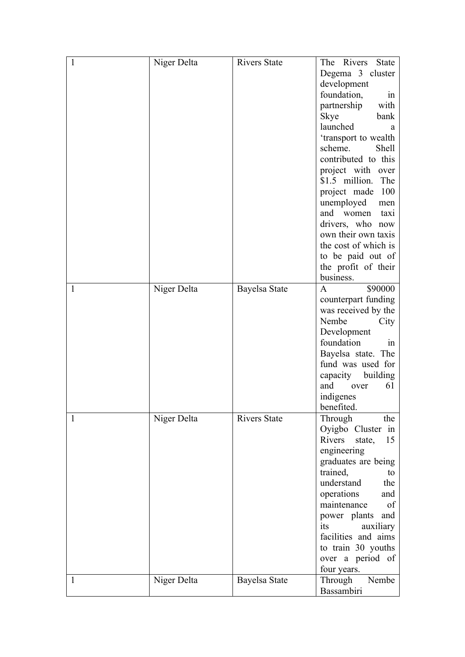| 1            | Niger Delta | <b>Rivers State</b> | The Rivers<br><b>State</b> |
|--------------|-------------|---------------------|----------------------------|
|              |             |                     | Degema 3 cluster           |
|              |             |                     | development                |
|              |             |                     | foundation,<br>in          |
|              |             |                     | partnership<br>with        |
|              |             |                     |                            |
|              |             |                     | Skye<br>bank               |
|              |             |                     | launched<br>a              |
|              |             |                     | 'transport to wealth       |
|              |             |                     | scheme.<br><b>Shell</b>    |
|              |             |                     | contributed to this        |
|              |             |                     | project with<br>over       |
|              |             |                     | \$1.5 million.<br>The      |
|              |             |                     | project made<br>100        |
|              |             |                     | unemployed<br>men          |
|              |             |                     | and women<br>taxi          |
|              |             |                     | drivers, who now           |
|              |             |                     | own their own taxis        |
|              |             |                     | the cost of which is       |
|              |             |                     | to be paid out of          |
|              |             |                     | the profit of their        |
|              |             |                     | business.                  |
| $\mathbf{1}$ |             |                     | \$90000<br>A               |
|              | Niger Delta | Bayelsa State       |                            |
|              |             |                     | counterpart funding        |
|              |             |                     | was received by the        |
|              |             |                     | Nembe<br>City              |
|              |             |                     | Development                |
|              |             |                     | foundation<br>1n           |
|              |             |                     | Bayelsa state. The         |
|              |             |                     | fund was used for          |
|              |             |                     | building<br>capacity       |
|              |             |                     | and<br>61<br>over          |
|              |             |                     | indigenes                  |
|              |             |                     | benefited.                 |
| 1            | Niger Delta | <b>Rivers State</b> | Through<br>the             |
|              |             |                     | Oyigbo Cluster in          |
|              |             |                     | Rivers<br>state,<br>15     |
|              |             |                     | engineering                |
|              |             |                     | graduates are being        |
|              |             |                     | trained,<br>to             |
|              |             |                     | understand<br>the          |
|              |             |                     |                            |
|              |             |                     | operations<br>and          |
|              |             |                     | maintenance<br>of          |
|              |             |                     | power plants<br>and        |
|              |             |                     | auxiliary<br>its           |
|              |             |                     | facilities and aims        |
|              |             |                     | to train 30 youths         |
|              |             |                     | over a period of           |
|              |             |                     | four years.                |
| 1            | Niger Delta | Bayelsa State       | Nembe<br>Through           |
|              |             |                     | Bassambiri                 |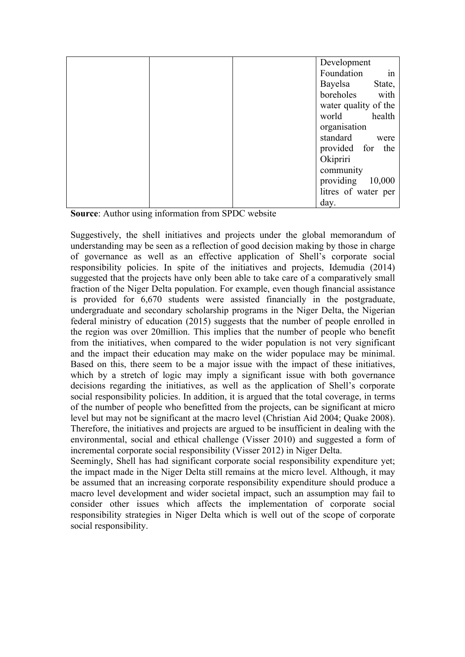|  | Development          |
|--|----------------------|
|  | in<br>Foundation     |
|  | Bayelsa<br>State,    |
|  | boreholes with       |
|  | water quality of the |
|  | world health         |
|  | organisation         |
|  | standard<br>were     |
|  | provided for the     |
|  | Okipriri             |
|  | community            |
|  | providing 10,000     |
|  | litres of water per  |
|  | day.                 |

**Source**: Author using information from SPDC website

Suggestively, the shell initiatives and projects under the global memorandum of understanding may be seen as a reflection of good decision making by those in charge of governance as well as an effective application of Shell's corporate social responsibility policies. In spite of the initiatives and projects, Idemudia (2014) suggested that the projects have only been able to take care of a comparatively small fraction of the Niger Delta population. For example, even though financial assistance is provided for 6,670 students were assisted financially in the postgraduate, undergraduate and secondary scholarship programs in the Niger Delta, the Nigerian federal ministry of education (2015) suggests that the number of people enrolled in the region was over 20million. This implies that the number of people who benefit from the initiatives, when compared to the wider population is not very significant and the impact their education may make on the wider populace may be minimal. Based on this, there seem to be a major issue with the impact of these initiatives, which by a stretch of logic may imply a significant issue with both governance decisions regarding the initiatives, as well as the application of Shell's corporate social responsibility policies. In addition, it is argued that the total coverage, in terms of the number of people who benefitted from the projects, can be significant at micro level but may not be significant at the macro level (Christian Aid 2004; Quake 2008). Therefore, the initiatives and projects are argued to be insufficient in dealing with the environmental, social and ethical challenge (Visser 2010) and suggested a form of incremental corporate social responsibility (Visser 2012) in Niger Delta.

Seemingly, Shell has had significant corporate social responsibility expenditure yet; the impact made in the Niger Delta still remains at the micro level. Although, it may be assumed that an increasing corporate responsibility expenditure should produce a macro level development and wider societal impact, such an assumption may fail to consider other issues which affects the implementation of corporate social responsibility strategies in Niger Delta which is well out of the scope of corporate social responsibility.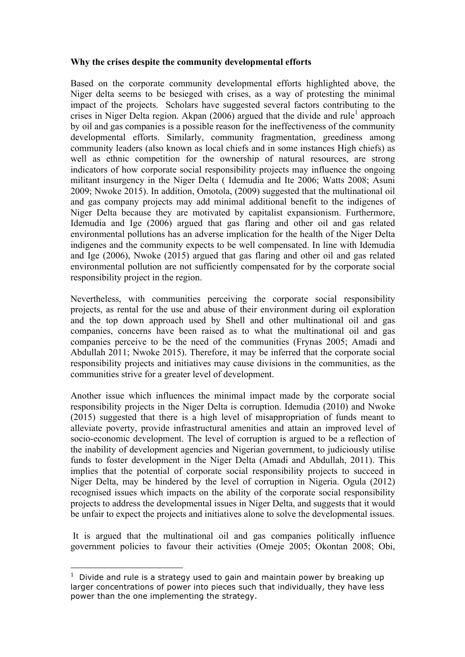# **Why the crises despite the community developmental efforts**

Based on the corporate community developmental efforts highlighted above, the Niger delta seems to be besieged with crises, as a way of protesting the minimal impact of the projects. Scholars have suggested several factors contributing to the crises in Niger Delta region. Akpan  $(2006)$  argued that the divide and rule<sup>1</sup> approach by oil and gas companies is a possible reason for the ineffectiveness of the community developmental efforts. Similarly, community fragmentation, greediness among community leaders (also known as local chiefs and in some instances High chiefs) as well as ethnic competition for the ownership of natural resources, are strong indicators of how corporate social responsibility projects may influence the ongoing militant insurgency in the Niger Delta ( Idemudia and Ite 2006; Watts 2008; Asuni 2009; Nwoke 2015). In addition, Omotola, (2009) suggested that the multinational oil and gas company projects may add minimal additional benefit to the indigenes of Niger Delta because they are motivated by capitalist expansionism. Furthermore, Idemudia and Ige (2006) argued that gas flaring and other oil and gas related environmental pollutions has an adverse implication for the health of the Niger Delta indigenes and the community expects to be well compensated. In line with Idemudia and Ige (2006), Nwoke (2015) argued that gas flaring and other oil and gas related environmental pollution are not sufficiently compensated for by the corporate social responsibility project in the region.

Nevertheless, with communities perceiving the corporate social responsibility projects, as rental for the use and abuse of their environment during oil exploration and the top down approach used by Shell and other multinational oil and gas companies, concerns have been raised as to what the multinational oil and gas companies perceive to be the need of the communities (Frynas 2005; Amadi and Abdullah 2011; Nwoke 2015). Therefore, it may be inferred that the corporate social responsibility projects and initiatives may cause divisions in the communities, as the communities strive for a greater level of development.

Another issue which influences the minimal impact made by the corporate social responsibility projects in the Niger Delta is corruption. Idemudia (2010) and Nwoke (2015) suggested that there is a high level of misappropriation of funds meant to alleviate poverty, provide infrastructural amenities and attain an improved level of socio-economic development. The level of corruption is argued to be a reflection of the inability of development agencies and Nigerian government, to judiciously utilise funds to foster development in the Niger Delta (Amadi and Abdullah, 2011). This implies that the potential of corporate social responsibility projects to succeed in Niger Delta, may be hindered by the level of corruption in Nigeria. Ogula (2012) recognised issues which impacts on the ability of the corporate social responsibility projects to address the developmental issues in Niger Delta, and suggests that it would be unfair to expect the projects and initiatives alone to solve the developmental issues.

It is argued that the multinational oil and gas companies politically influence government policies to favour their activities (Omeje 2005; Okontan 2008; Obi,

-

 $1$  Divide and rule is a strategy used to gain and maintain power by breaking up larger concentrations of power into pieces such that individually, they have less power than the one implementing the strategy.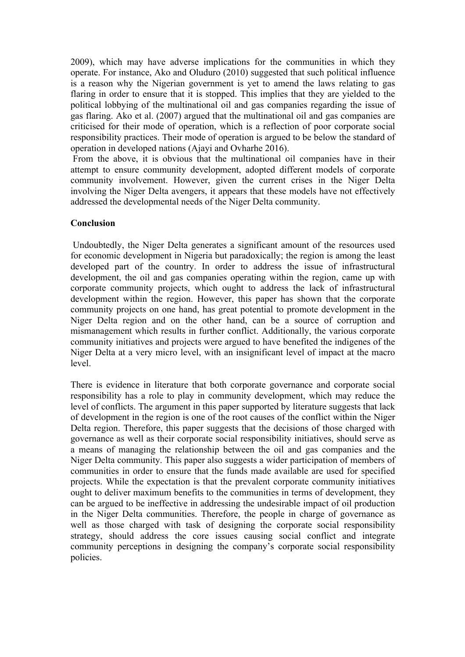2009), which may have adverse implications for the communities in which they operate. For instance, Ako and Oluduro (2010) suggested that such political influence is a reason why the Nigerian government is yet to amend the laws relating to gas flaring in order to ensure that it is stopped. This implies that they are yielded to the political lobbying of the multinational oil and gas companies regarding the issue of gas flaring. Ako et al. (2007) argued that the multinational oil and gas companies are criticised for their mode of operation, which is a reflection of poor corporate social responsibility practices. Their mode of operation is argued to be below the standard of operation in developed nations (Ajayi and Ovharhe 2016).

From the above, it is obvious that the multinational oil companies have in their attempt to ensure community development, adopted different models of corporate community involvement. However, given the current crises in the Niger Delta involving the Niger Delta avengers, it appears that these models have not effectively addressed the developmental needs of the Niger Delta community.

# **Conclusion**

Undoubtedly, the Niger Delta generates a significant amount of the resources used for economic development in Nigeria but paradoxically; the region is among the least developed part of the country. In order to address the issue of infrastructural development, the oil and gas companies operating within the region, came up with corporate community projects, which ought to address the lack of infrastructural development within the region. However, this paper has shown that the corporate community projects on one hand, has great potential to promote development in the Niger Delta region and on the other hand, can be a source of corruption and mismanagement which results in further conflict. Additionally, the various corporate community initiatives and projects were argued to have benefited the indigenes of the Niger Delta at a very micro level, with an insignificant level of impact at the macro level.

There is evidence in literature that both corporate governance and corporate social responsibility has a role to play in community development, which may reduce the level of conflicts. The argument in this paper supported by literature suggests that lack of development in the region is one of the root causes of the conflict within the Niger Delta region. Therefore, this paper suggests that the decisions of those charged with governance as well as their corporate social responsibility initiatives, should serve as a means of managing the relationship between the oil and gas companies and the Niger Delta community. This paper also suggests a wider participation of members of communities in order to ensure that the funds made available are used for specified projects. While the expectation is that the prevalent corporate community initiatives ought to deliver maximum benefits to the communities in terms of development, they can be argued to be ineffective in addressing the undesirable impact of oil production in the Niger Delta communities. Therefore, the people in charge of governance as well as those charged with task of designing the corporate social responsibility strategy, should address the core issues causing social conflict and integrate community perceptions in designing the company's corporate social responsibility policies.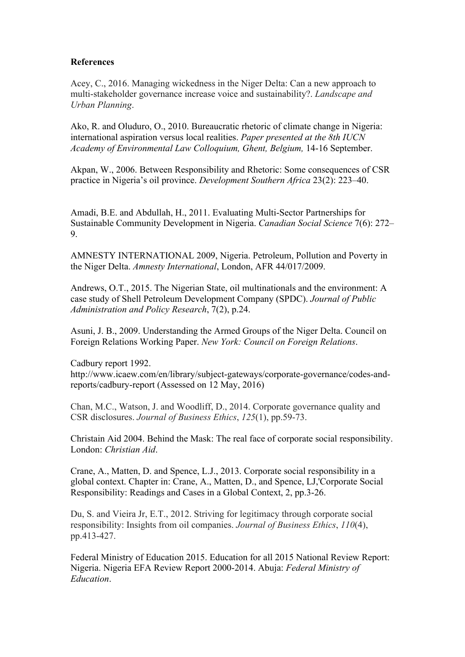## **References**

Acey, C., 2016. Managing wickedness in the Niger Delta: Can a new approach to multi-stakeholder governance increase voice and sustainability?. *Landscape and Urban Planning*.

Ako, R. and Oluduro, O., 2010. Bureaucratic rhetoric of climate change in Nigeria: international aspiration versus local realities. *Paper presented at the 8th IUCN Academy of Environmental Law Colloquium, Ghent, Belgium,* 14-16 September.

Akpan, W., 2006. Between Responsibility and Rhetoric: Some consequences of CSR practice in Nigeria's oil province. *Development Southern Africa* 23(2): 223–40.

Amadi, B.E. and Abdullah, H., 2011. Evaluating Multi-Sector Partnerships for Sustainable Community Development in Nigeria. *Canadian Social Science* 7(6): 272– 9.

AMNESTY INTERNATIONAL 2009, Nigeria. Petroleum, Pollution and Poverty in the Niger Delta. *Amnesty International*, London, AFR 44/017/2009.

Andrews, O.T., 2015. The Nigerian State, oil multinationals and the environment: A case study of Shell Petroleum Development Company (SPDC). *Journal of Public Administration and Policy Research*, 7(2), p.24.

Asuni, J. B., 2009. Understanding the Armed Groups of the Niger Delta. Council on Foreign Relations Working Paper. *New York: Council on Foreign Relations*.

Cadbury report 1992.

http://www.icaew.com/en/library/subject-gateways/corporate-governance/codes-andreports/cadbury-report (Assessed on 12 May, 2016)

Chan, M.C., Watson, J. and Woodliff, D., 2014. Corporate governance quality and CSR disclosures. *Journal of Business Ethics*, *125*(1), pp.59-73.

Christain Aid 2004. Behind the Mask: The real face of corporate social responsibility. London: *Christian Aid*.

Crane, A., Matten, D. and Spence, L.J., 2013. Corporate social responsibility in a global context. Chapter in: Crane, A., Matten, D., and Spence, LJ,'Corporate Social Responsibility: Readings and Cases in a Global Context, 2, pp.3-26.

Du, S. and Vieira Jr, E.T., 2012. Striving for legitimacy through corporate social responsibility: Insights from oil companies. *Journal of Business Ethics*, *110*(4), pp.413-427.

Federal Ministry of Education 2015. Education for all 2015 National Review Report: Nigeria. Nigeria EFA Review Report 2000-2014. Abuja: *Federal Ministry of Education*.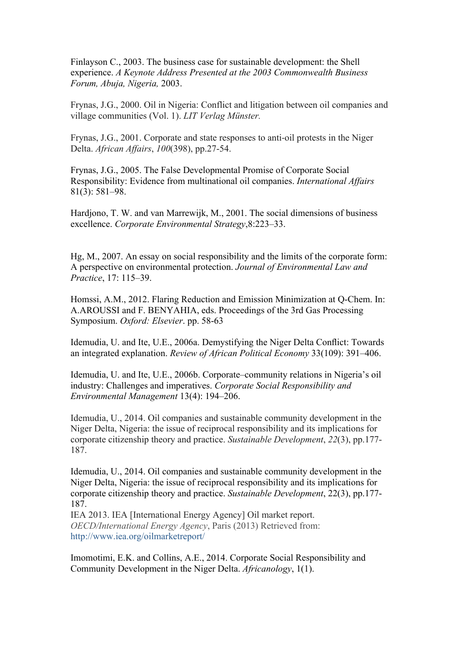Finlayson C., 2003. The business case for sustainable development: the Shell experience. *A Keynote Address Presented at the 2003 Commonwealth Business Forum, Abuja, Nigeria,* 2003.

Frynas, J.G., 2000. Oil in Nigeria: Conflict and litigation between oil companies and village communities (Vol. 1). *LIT Verlag Münster.*

Frynas, J.G., 2001. Corporate and state responses to anti-oil protests in the Niger Delta. *African Affairs*, *100*(398), pp.27-54.

Frynas, J.G., 2005. The False Developmental Promise of Corporate Social Responsibility: Evidence from multinational oil companies. *International Affairs*  81(3): 581–98.

Hardjono, T. W. and van Marrewijk, M., 2001. The social dimensions of business excellence. *Corporate Environmental Strategy*,8:223–33.

Hg, M., 2007. An essay on social responsibility and the limits of the corporate form: A perspective on environmental protection. *Journal of Environmental Law and Practice*, 17: 115–39.

Homssi, A.M., 2012. Flaring Reduction and Emission Minimization at Q-Chem. In: A.AROUSSI and F. BENYAHIA, eds. Proceedings of the 3rd Gas Processing Symposium. *Oxford: Elsevier*. pp. 58-63

Idemudia, U. and Ite, U.E., 2006a. Demystifying the Niger Delta Conflict: Towards an integrated explanation. *Review of African Political Economy* 33(109): 391–406.

Idemudia, U. and Ite, U.E., 2006b. Corporate–community relations in Nigeria's oil industry: Challenges and imperatives. *Corporate Social Responsibility and Environmental Management* 13(4): 194–206.

Idemudia, U., 2014. Oil companies and sustainable community development in the Niger Delta, Nigeria: the issue of reciprocal responsibility and its implications for corporate citizenship theory and practice. *Sustainable Development*, *22*(3), pp.177- 187.

Idemudia, U., 2014. Oil companies and sustainable community development in the Niger Delta, Nigeria: the issue of reciprocal responsibility and its implications for corporate citizenship theory and practice. *Sustainable Development*, 22(3), pp.177- 187.

IEA 2013. IEA [International Energy Agency] Oil market report. *OECD/International Energy Agency*, Paris (2013) Retrieved from: http://www.iea.org/oilmarketreport/

Imomotimi, E.K. and Collins, A.E., 2014. Corporate Social Responsibility and Community Development in the Niger Delta. *Africanology*, 1(1).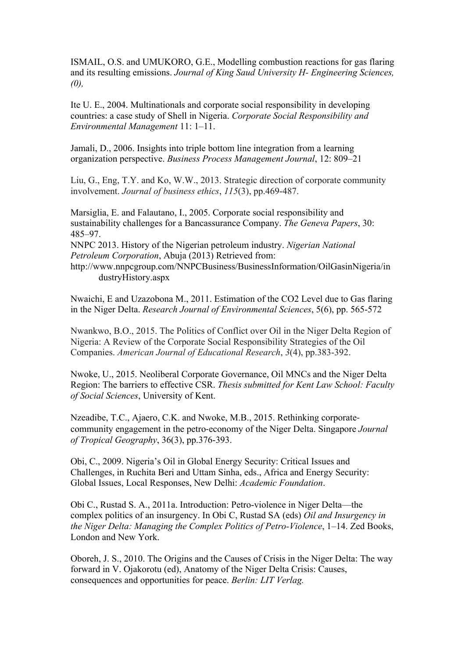ISMAIL, O.S. and UMUKORO, G.E., Modelling combustion reactions for gas flaring and its resulting emissions. *Journal of King Saud University H- Engineering Sciences, (0),*

Ite U. E., 2004. Multinationals and corporate social responsibility in developing countries: a case study of Shell in Nigeria. *Corporate Social Responsibility and Environmental Management* 11: 1–11.

Jamali, D., 2006. Insights into triple bottom line integration from a learning organization perspective. *Business Process Management Journal*, 12: 809–21

Liu, G., Eng, T.Y. and Ko, W.W., 2013. Strategic direction of corporate community involvement. *Journal of business ethics*, *115*(3), pp.469-487.

Marsiglia, E. and Falautano, I., 2005. Corporate social responsibility and sustainability challenges for a Bancassurance Company. *The Geneva Papers*, 30: 485–97.

NNPC 2013. History of the Nigerian petroleum industry. *Nigerian National Petroleum Corporation*, Abuja (2013) Retrieved from:

http://www.nnpcgroup.com/NNPCBusiness/BusinessInformation/OilGasinNigeria/in dustryHistory.aspx

Nwaichi, E and Uzazobona M., 2011. Estimation of the CO2 Level due to Gas flaring in the Niger Delta. *Research Journal of Environmental Sciences*, 5(6), pp. 565-572

Nwankwo, B.O., 2015. The Politics of Conflict over Oil in the Niger Delta Region of Nigeria: A Review of the Corporate Social Responsibility Strategies of the Oil Companies. *American Journal of Educational Research*, *3*(4), pp.383-392.

Nwoke, U., 2015. Neoliberal Corporate Governance, Oil MNCs and the Niger Delta Region: The barriers to effective CSR. *Thesis submitted for Kent Law School: Faculty of Social Sciences*, University of Kent.

Nzeadibe, T.C., Ajaero, C.K. and Nwoke, M.B., 2015. Rethinking corporatecommunity engagement in the petro-economy of the Niger Delta. Singapore *Journal of Tropical Geography*, 36(3), pp.376-393.

Obi, C., 2009. Nigeria's Oil in Global Energy Security: Critical Issues and Challenges, in Ruchita Beri and Uttam Sinha, eds., Africa and Energy Security: Global Issues, Local Responses, New Delhi: *Academic Foundation*.

Obi C., Rustad S. A., 2011a. Introduction: Petro-violence in Niger Delta—the complex politics of an insurgency. In Obi C, Rustad SA (eds) *Oil and Insurgency in the Niger Delta: Managing the Complex Politics of Petro-Violence*, 1–14. Zed Books, London and New York.

Oboreh, J. S., 2010. The Origins and the Causes of Crisis in the Niger Delta: The way forward in V. Ojakorotu (ed), Anatomy of the Niger Delta Crisis: Causes, consequences and opportunities for peace. *Berlin: LIT Verlag.*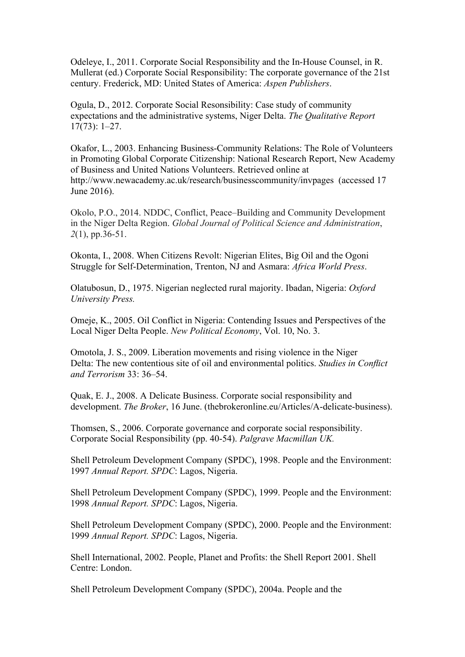Odeleye, I., 2011. Corporate Social Responsibility and the In-House Counsel, in R. Mullerat (ed.) Corporate Social Responsibility: The corporate governance of the 21st century. Frederick, MD: United States of America: *Aspen Publishers*.

Ogula, D., 2012. Corporate Social Resonsibility: Case study of community expectations and the administrative systems, Niger Delta. *The Qualitative Report* 17(73): 1–27.

Okafor, L., 2003. Enhancing Business-Community Relations: The Role of Volunteers in Promoting Global Corporate Citizenship: National Research Report, New Academy of Business and United Nations Volunteers. Retrieved online at http://www.newacademy.ac.uk/research/businesscommunity/invpages (accessed 17 June 2016).

Okolo, P.O., 2014. NDDC, Conflict, Peace–Building and Community Development in the Niger Delta Region. *Global Journal of Political Science and Administration*, *2*(1), pp.36-51.

Okonta, I., 2008. When Citizens Revolt: Nigerian Elites, Big Oil and the Ogoni Struggle for Self-Determination, Trenton, NJ and Asmara: *Africa World Press*.

Olatubosun, D., 1975. Nigerian neglected rural majority. Ibadan, Nigeria: *Oxford University Press.*

Omeje, K., 2005. Oil Conflict in Nigeria: Contending Issues and Perspectives of the Local Niger Delta People. *New Political Economy*, Vol. 10, No. 3.

Omotola, J. S., 2009. Liberation movements and rising violence in the Niger Delta: The new contentious site of oil and environmental politics. *Studies in Conflict and Terrorism* 33: 36–54.

Quak, E. J., 2008. A Delicate Business. Corporate social responsibility and development. *The Broker*, 16 June. (thebrokeronline.eu/Articles/A-delicate-business).

Thomsen, S., 2006. Corporate governance and corporate social responsibility. Corporate Social Responsibility (pp. 40-54). *Palgrave Macmillan UK.*

Shell Petroleum Development Company (SPDC), 1998. People and the Environment: 1997 *Annual Report. SPDC*: Lagos, Nigeria.

Shell Petroleum Development Company (SPDC), 1999. People and the Environment: 1998 *Annual Report. SPDC*: Lagos, Nigeria.

Shell Petroleum Development Company (SPDC), 2000. People and the Environment: 1999 *Annual Report. SPDC*: Lagos, Nigeria.

Shell International, 2002. People, Planet and Profits: the Shell Report 2001. Shell Centre: London.

Shell Petroleum Development Company (SPDC), 2004a. People and the